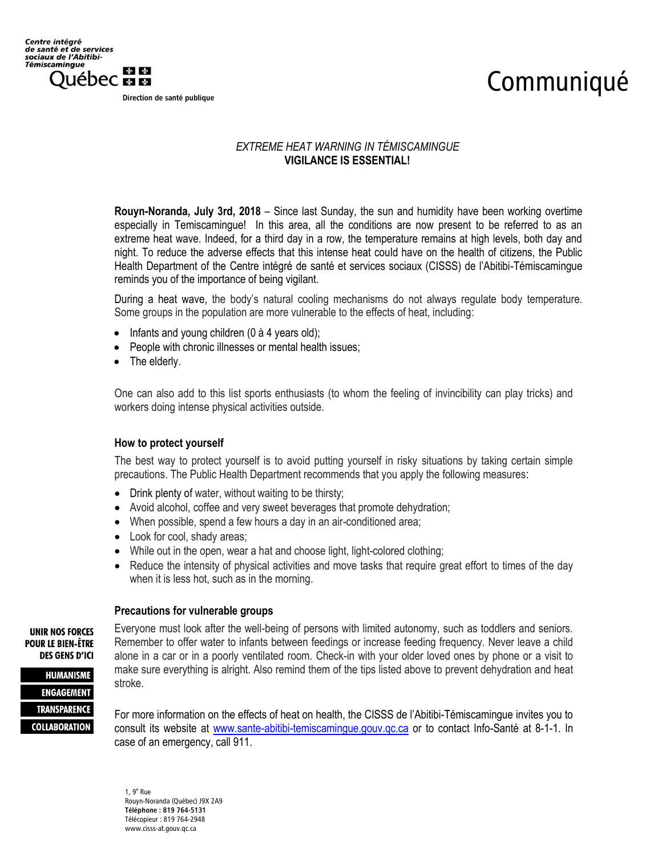## Communiqué

Direction de santé publique

## *EXTREME HEAT WARNING IN TÉMISCAMINGUE* **VIGILANCE IS ESSENTIAL!**

**Rouyn-Noranda, July 3rd, 2018** – Since last Sunday, the sun and humidity have been working overtime especially in Temiscamingue! In this area, all the conditions are now present to be referred to as an extreme heat wave. Indeed, for a third day in a row, the temperature remains at high levels, both day and night. To reduce the adverse effects that this intense heat could have on the health of citizens, the Public Health Department of the Centre intégré de santé et services sociaux (CISSS) de l'Abitibi-Témiscamingue reminds you of the importance of being vigilant.

During a heat wave, the body's natural cooling mechanisms do not always regulate body temperature. Some groups in the population are more vulnerable to the effects of heat, including:

- $\bullet$  Infants and young children (0 à 4 years old);
- People with chronic illnesses or mental health issues;
- The elderly.

One can also add to this list sports enthusiasts (to whom the feeling of invincibility can play tricks) and workers doing intense physical activities outside.

## **How to protect yourself**

The best way to protect yourself is to avoid putting yourself in risky situations by taking certain simple precautions. The Public Health Department recommends that you apply the following measures:

- Drink plenty of water, without waiting to be thirsty;
- Avoid alcohol, coffee and very sweet beverages that promote dehydration;
- When possible, spend a few hours a day in an air-conditioned area;
- Look for cool, shady areas;
- While out in the open, wear a hat and choose light, light-colored clothing;
- Reduce the intensity of physical activities and move tasks that require great effort to times of the day when it is less hot, such as in the morning.

## **Precautions for vulnerable groups**

**UNIR NOS FORCES POUR LE BIEN-ÊTRE DES GENS D'ICI** 

**HUMANISME ENGAGEMENT TRANSPARENCE COLLABORATION**  Everyone must look after the well-being of persons with limited autonomy, such as toddlers and seniors. Remember to offer water to infants between feedings or increase feeding frequency. Never leave a child alone in a car or in a poorly ventilated room. Check-in with your older loved ones by phone or a visit to make sure everything is alright. Also remind them of the tips listed above to prevent dehydration and heat stroke.

For more information on the effects of heat on health, the CISSS de l'Abitibi-Témiscamingue invites you to consult its website at [www.sante-abitibi-temiscamingue.gouv.qc.ca](http://www.sante-abitibi-temiscamingue.gouv.qc.ca/) or to contact Info-Santé at 8-1-1. In case of an emergency, call 911.

1, 9<sup>e</sup> Rue Rouyn-Noranda (Québec) J9X 2A9 Téléphone : 819 764-5131 Télécopieur : 819 764-2948 www.cisss-at.gouv.qc.ca